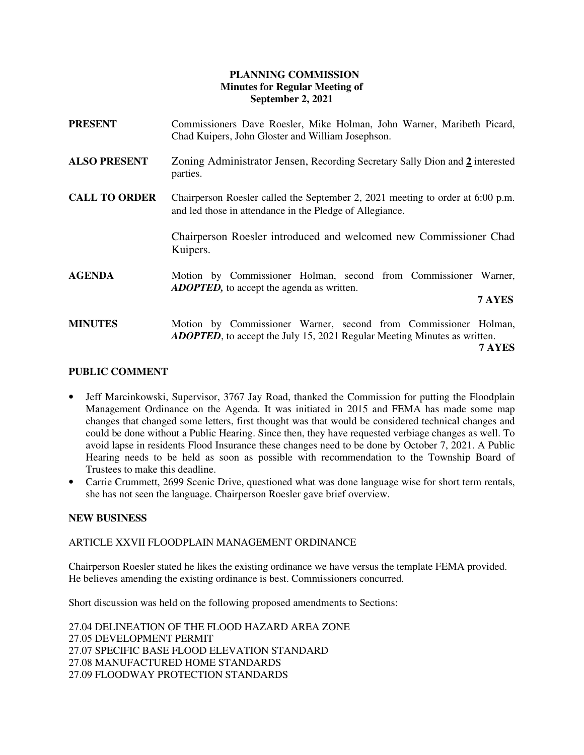# **PLANNING COMMISSION Minutes for Regular Meeting of September 2, 2021**

| <b>PRESENT</b>       | Commissioners Dave Roesler, Mike Holman, John Warner, Maribeth Picard,<br>Chad Kuipers, John Gloster and William Josephson.                                   |
|----------------------|---------------------------------------------------------------------------------------------------------------------------------------------------------------|
| <b>ALSO PRESENT</b>  | Zoning Administrator Jensen, Recording Secretary Sally Dion and 2 interested<br>parties.                                                                      |
| <b>CALL TO ORDER</b> | Chairperson Roesler called the September 2, 2021 meeting to order at $6:00$ p.m.<br>and led those in attendance in the Pledge of Allegiance.                  |
|                      | Chairperson Roesler introduced and welcomed new Commissioner Chad<br>Kuipers.                                                                                 |
| <b>AGENDA</b>        | Motion by Commissioner Holman, second from Commissioner Warner,<br><b>ADOPTED</b> , to accept the agenda as written.<br>7 AYES                                |
| <b>MINUTES</b>       | Motion by Commissioner Warner, second from Commissioner Holman,<br><b>ADOPTED</b> , to accept the July 15, 2021 Regular Meeting Minutes as written.<br>7 AYES |

## **PUBLIC COMMENT**

- Jeff Marcinkowski, Supervisor, 3767 Jay Road, thanked the Commission for putting the Floodplain Management Ordinance on the Agenda. It was initiated in 2015 and FEMA has made some map changes that changed some letters, first thought was that would be considered technical changes and could be done without a Public Hearing. Since then, they have requested verbiage changes as well. To avoid lapse in residents Flood Insurance these changes need to be done by October 7, 2021. A Public Hearing needs to be held as soon as possible with recommendation to the Township Board of Trustees to make this deadline.
- Carrie Crummett, 2699 Scenic Drive, questioned what was done language wise for short term rentals, she has not seen the language. Chairperson Roesler gave brief overview.

## **NEW BUSINESS**

ARTICLE XXVII FLOODPLAIN MANAGEMENT ORDINANCE

Chairperson Roesler stated he likes the existing ordinance we have versus the template FEMA provided. He believes amending the existing ordinance is best. Commissioners concurred.

Short discussion was held on the following proposed amendments to Sections:

27.04 DELINEATION OF THE FLOOD HAZARD AREA ZONE 27.05 DEVELOPMENT PERMIT 27.07 SPECIFIC BASE FLOOD ELEVATION STANDARD 27.08 MANUFACTURED HOME STANDARDS 27.09 FLOODWAY PROTECTION STANDARDS